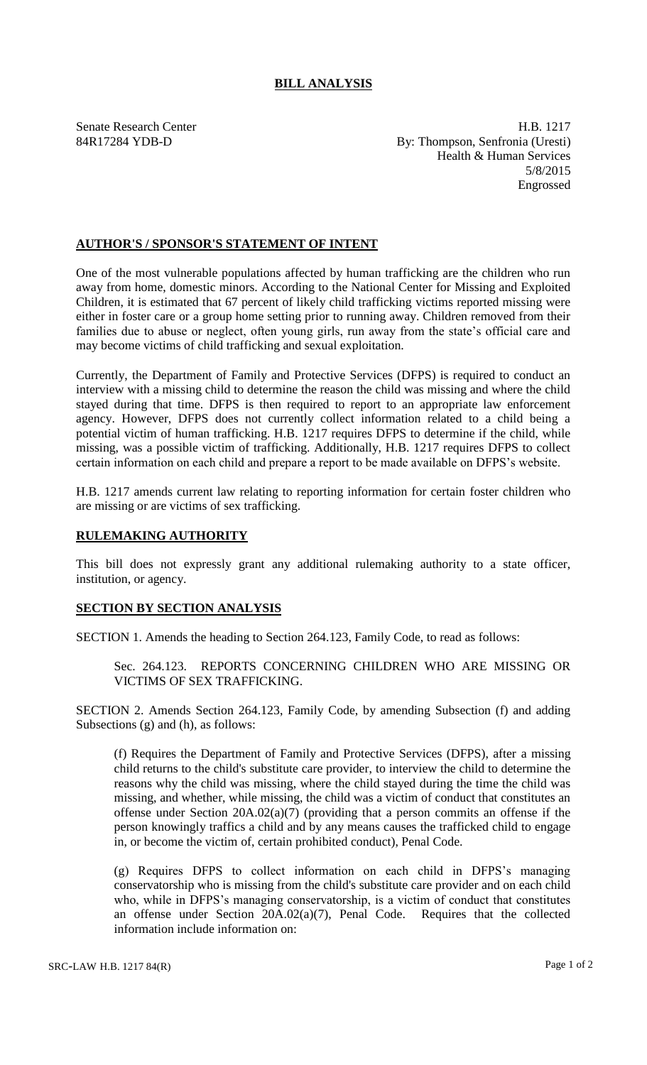## **BILL ANALYSIS**

Senate Research Center **H.B.** 1217 84R17284 YDB-D By: Thompson, Senfronia (Uresti) Health & Human Services 5/8/2015 Engrossed

## **AUTHOR'S / SPONSOR'S STATEMENT OF INTENT**

One of the most vulnerable populations affected by human trafficking are the children who run away from home, domestic minors. According to the National Center for Missing and Exploited Children, it is estimated that 67 percent of likely child trafficking victims reported missing were either in foster care or a group home setting prior to running away. Children removed from their families due to abuse or neglect, often young girls, run away from the state's official care and may become victims of child trafficking and sexual exploitation.

Currently, the Department of Family and Protective Services (DFPS) is required to conduct an interview with a missing child to determine the reason the child was missing and where the child stayed during that time. DFPS is then required to report to an appropriate law enforcement agency. However, DFPS does not currently collect information related to a child being a potential victim of human trafficking. H.B. 1217 requires DFPS to determine if the child, while missing, was a possible victim of trafficking. Additionally, H.B. 1217 requires DFPS to collect certain information on each child and prepare a report to be made available on DFPS's website.

H.B. 1217 amends current law relating to reporting information for certain foster children who are missing or are victims of sex trafficking.

## **RULEMAKING AUTHORITY**

This bill does not expressly grant any additional rulemaking authority to a state officer, institution, or agency.

## **SECTION BY SECTION ANALYSIS**

SECTION 1. Amends the heading to Section 264.123, Family Code, to read as follows:

Sec. 264.123. REPORTS CONCERNING CHILDREN WHO ARE MISSING OR VICTIMS OF SEX TRAFFICKING.

SECTION 2. Amends Section 264.123, Family Code, by amending Subsection (f) and adding Subsections (g) and (h), as follows:

(f) Requires the Department of Family and Protective Services (DFPS), after a missing child returns to the child's substitute care provider, to interview the child to determine the reasons why the child was missing, where the child stayed during the time the child was missing, and whether, while missing, the child was a victim of conduct that constitutes an offense under Section 20A.02(a)(7) (providing that a person commits an offense if the person knowingly traffics a child and by any means causes the trafficked child to engage in, or become the victim of, certain prohibited conduct), Penal Code.

(g) Requires DFPS to collect information on each child in DFPS's managing conservatorship who is missing from the child's substitute care provider and on each child who, while in DFPS's managing conservatorship, is a victim of conduct that constitutes an offense under Section 20A.02(a)(7), Penal Code. Requires that the collected information include information on: